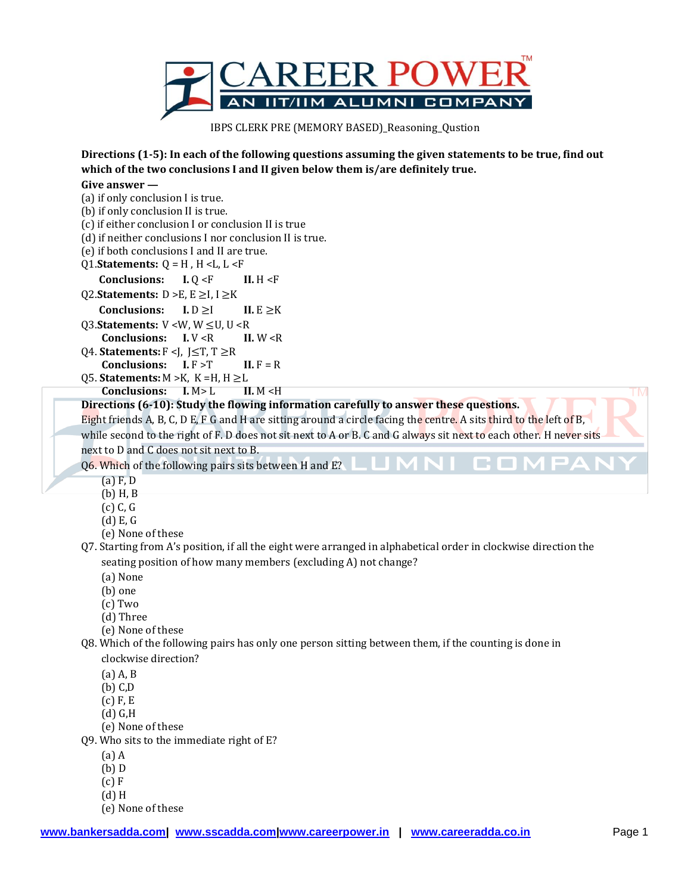

IBPS CLERK PRE (MEMORY BASED)\_Reasoning\_Qustion

**Directions (1-5): In each of the following questions assuming the given statements to be true, find out which of the two conclusions I and II given below them is/are definitely true.**

## **Give answer —**

(a) if only conclusion I is true. (b) if only conclusion II is true. (c) if either conclusion I or conclusion II is true (d) if neither conclusions I nor conclusion II is true. (e) if both conclusions I and II are true. Q1.**Statements:** Q = H , H <L, L <F **Conclusions: I.** Q <F **II.** H <F Q2.**Statements:** D >E, E ≥I, I ≥K **Conclusions: I.**  $D \ge I$  **II.**  $E \ge K$ Q3.**Statements:** V <W, W ≤U, U <R **Conclusions: I.** V <R **II.** W <R Q4. **Statements:** F <J, J≤T, T ≥R **Conclusions:**  $I.F > T$  **II.**  $F = R$ Q5. **Statements:** M >K, K =H, H ≥L **TM Conclusions: I.** M> L **II.** M <H **Directions (6-10): Study the flowing information carefully to answer these questions.** Eight friends A, B, C, D E, F G and H are sitting around a circle facing the centre. A sits third to the left of B, while second to the right of F. D does not sit next to A or B. C and G always sit next to each other. H never sits next to D and C does not sit next to B. Q6. Which of the following pairs sits between H and E?  $(a) F, D$ (b) H, B

- (c) C, G
- (d) E, G
- (e) None of these
- Q7. Starting from A's position, if all the eight were arranged in alphabetical order in clockwise direction the seating position of how many members (excluding A) not change?
	- (a) None
	- (b) one
	- (c) Two
	- (d) Three
	- (e) None of these

Q8. Which of the following pairs has only one person sitting between them, if the counting is done in

- clockwise direction?
- $(a)$  A, B
- (b) C,D
- (c) F, E
- (d) G,H
- (e) None of these
- Q9. Who sits to the immediate right of E?
	- (a) A
	- (b) D
	- (c) F
	- (d) H
	- (e) None of these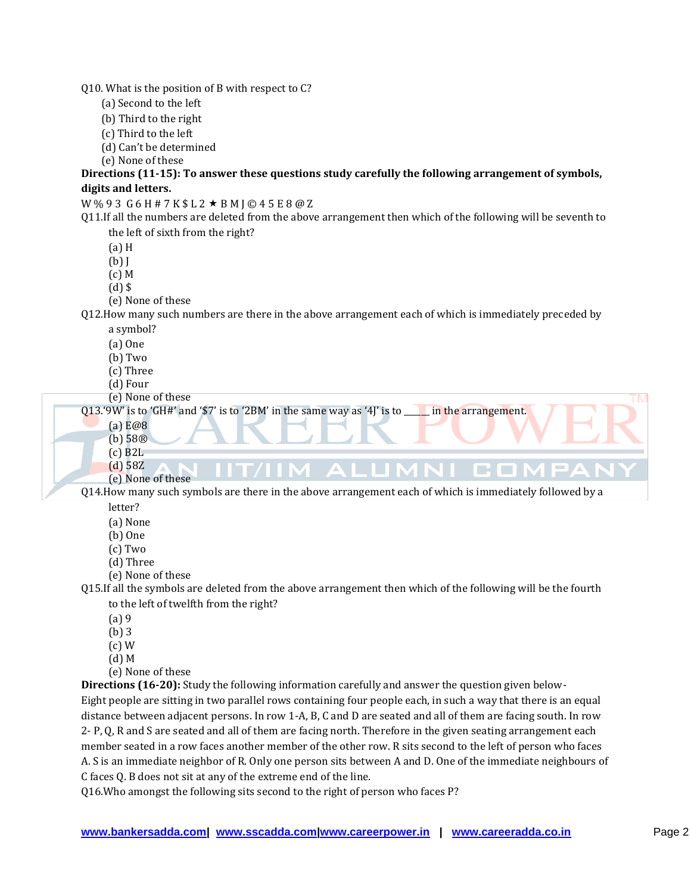Q10. What is the position of B with respect to C?

- (a) Second to the left
- (b) Third to the right
- (c) Third to the left
- (d) Can't be determined
- (e) None of these

**Directions (11-15): To answer these questions study carefully the following arrangement of symbols, digits and letters.**

 $W$ % 9 3 G 6 H # 7 K \$ L 2  $\star$  B M J © 4 5 E 8 @ Z

Q11.If all the numbers are deleted from the above arrangement then which of the following will be seventh to the left of sixth from the right?

(a) H

(b) J

(c) M

 $(d)$  \$

(e) None of these

Q12.How many such numbers are there in the above arrangement each of which is immediately preceded by a symbol?

- (a) One
- (b) Two
- (c) Three
- (d) Four

(e) None of these

Q13.'9W' is to 'GH#' and '\$7' is to '2BM' in the same way as '4J' is to \_\_\_\_\_\_ in the arrangement.

- (a) E@8
- (b) 58®
- (c) B2L
- (d) 58Z (e) None of these

Q14.How many such symbols are there in the above arrangement each of which is immediately followed by a letter?

C. O

- (a) None
- (b) One
- (c) Two
- (d) Three
- (e) None of these

Q15.If all the symbols are deleted from the above arrangement then which of the following will be the fourth to the left of twelfth from the right?

- (a) 9
- (b) 3
- (c) W
- (d) M
- (e) None of these

**Directions (16-20):** Study the following information carefully and answer the question given below-Eight people are sitting in two parallel rows containing four people each, in such a way that there is an equal distance between adjacent persons. In row 1-A, B, C and D are seated and all of them are facing south. In row 2- P, Q, R and S are seated and all of them are facing north. Therefore in the given seating arrangement each member seated in a row faces another member of the other row. R sits second to the left of person who faces A. S is an immediate neighbor of R. Only one person sits between A and D. One of the immediate neighbours of C faces Q. B does not sit at any of the extreme end of the line.

Q16.Who amongst the following sits second to the right of person who faces P?

ГM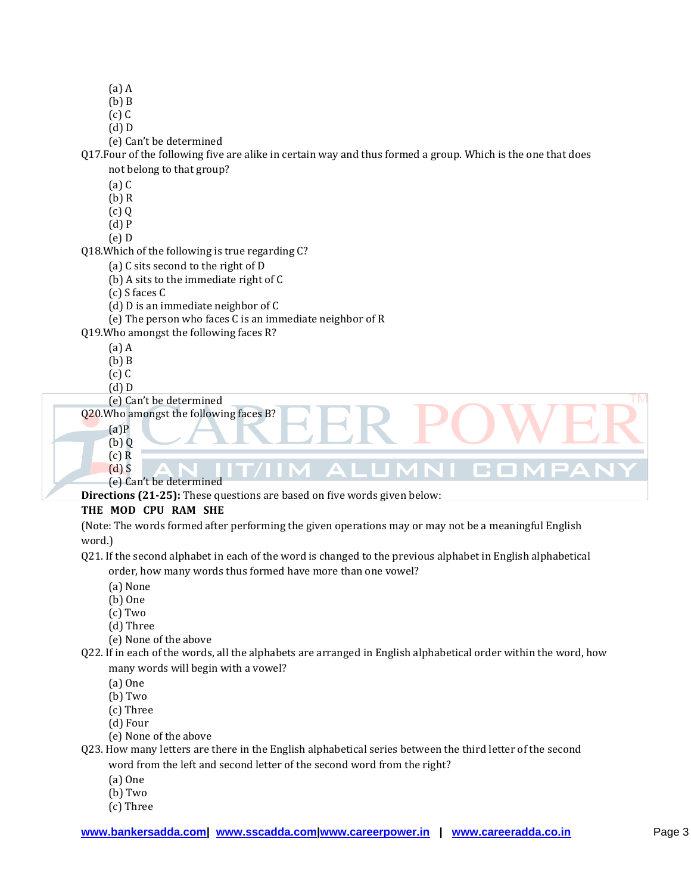(a) A

 $(h)$  B

 $(c)$  C (d) D

(e) Can't be determined

Q17.Four of the following five are alike in certain way and thus formed a group. Which is the one that does not belong to that group?

(a) C

(b) R

(c) Q

- (d) P
- (e) D

Q18.Which of the following is true regarding C?

(a) C sits second to the right of D

(b) A sits to the immediate right of C

(c) S faces C

(d) D is an immediate neighbor of C

(e) The person who faces C is an immediate neighbor of R

Q19.Who amongst the following faces R?

- (a) A
- (b) B
- $(c)$  $C$
- (d) D

(e) Can't be determined

Q20.Who amongst the following faces B?

- $(a)P$
- (b) Q  $(c)$  R (d) S

(e) Can't be determined **Directions (21-25):** These questions are based on five words given below:

## **THE MOD CPU RAM SHE**

(Note: The words formed after performing the given operations may or may not be a meaningful English word.)

LUMNI CO

Q21. If the second alphabet in each of the word is changed to the previous alphabet in English alphabetical order, how many words thus formed have more than one vowel?

- (a) None
- (b) One
- (c) Two
- (d) Three
- (e) None of the above
- Q22. If in each of the words, all the alphabets are arranged in English alphabetical order within the word, how many words will begin with a vowel?
	- (a) One
	- (b) Two

(c) Three

(d) Four

(e) None of the above

Q23. How many letters are there in the English alphabetical series between the third letter of the second word from the left and second letter of the second word from the right?

- (a) One
- (b) Two
- (c) Three

**TM**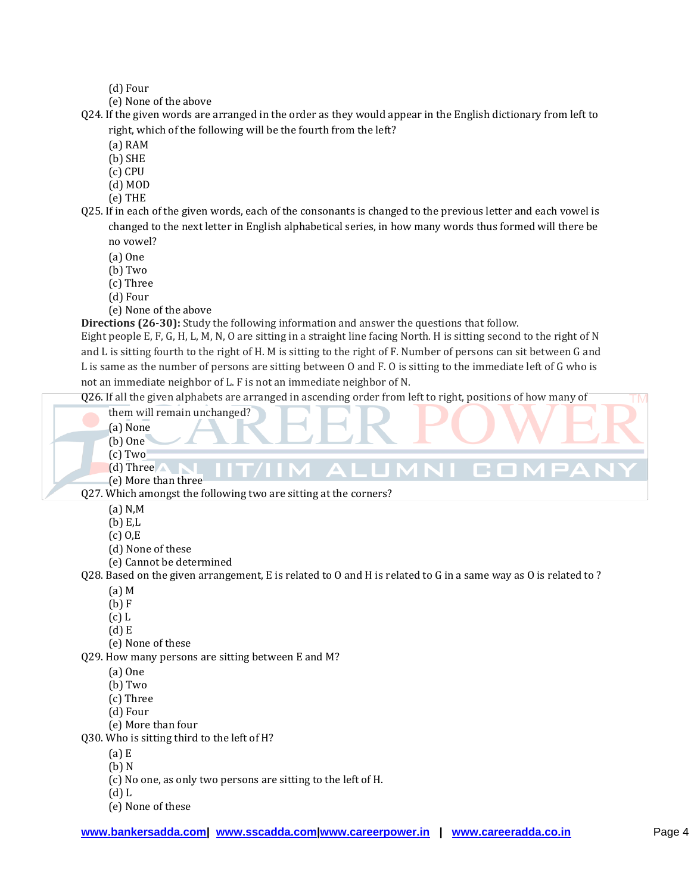(d) Four

(e) None of the above

Q24. If the given words are arranged in the order as they would appear in the English dictionary from left to right, which of the following will be the fourth from the left?

(a) RAM

(b) SHE

(c) CPU

(d) MOD

(e) THE

Q25. If in each of the given words, each of the consonants is changed to the previous letter and each vowel is changed to the next letter in English alphabetical series, in how many words thus formed will there be no vowel?

(a) One

(b) Two

(c) Three

(d) Four

(e) None of the above

**Directions (26-30):** Study the following information and answer the questions that follow.

Eight people E, F, G, H, L, M, N, O are sitting in a straight line facing North. H is sitting second to the right of N and L is sitting fourth to the right of H. M is sitting to the right of F. Number of persons can sit between G and L is same as the number of persons are sitting between O and F. O is sitting to the immediate left of G who is not an immediate neighbor of L. F is not an immediate neighbor of N.

Q26. If all the given alphabets are arranged in ascending order from left to right, positions of how many of

them will remain unchanged? (a) None

- (b) One
- (c) Two
- (d) Three

(e) More than three

Q27. Which amongst the following two are sitting at the corners?

(a) N,M

(b) E,L

- (c) O,E
- (d) None of these
- (e) Cannot be determined

Q28. Based on the given arrangement, E is related to O and H is related to G in a same way as O is related to ?

MNI

n.  $\mathcal{L}_{\mathcal{A}}$ 

(a) M

(b) F

(c) L

- (d) E
- (e) None of these

Q29. How many persons are sitting between E and M?

(a) One

(b) Two

(c) Three

(d) Four

(e) More than four

Q30. Who is sitting third to the left of H?

(a) E

(b) N

- (c) No one, as only two persons are sitting to the left of H.
- (d) L
- (e) None of these

**TM**